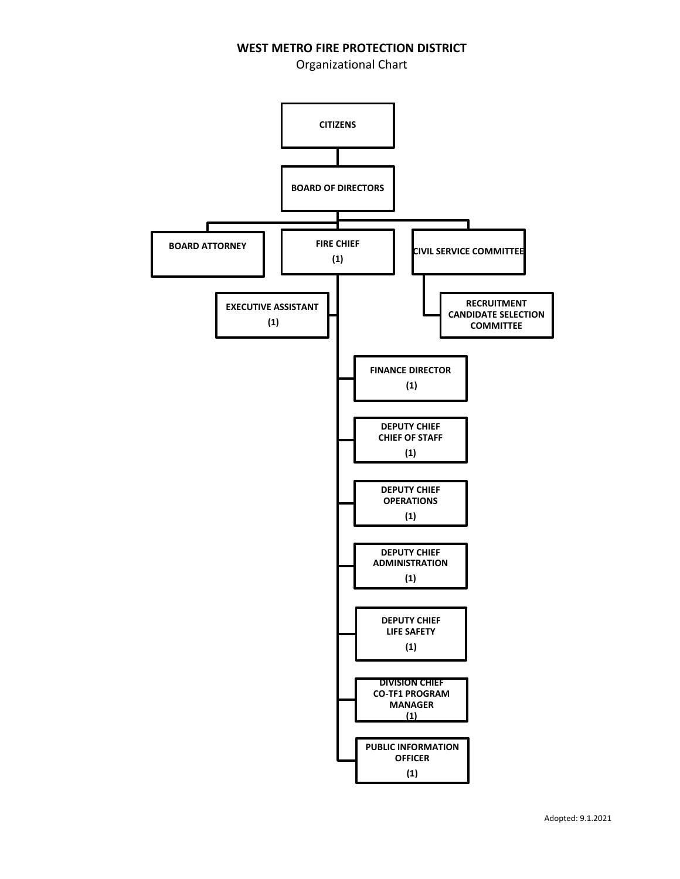Organizational Chart

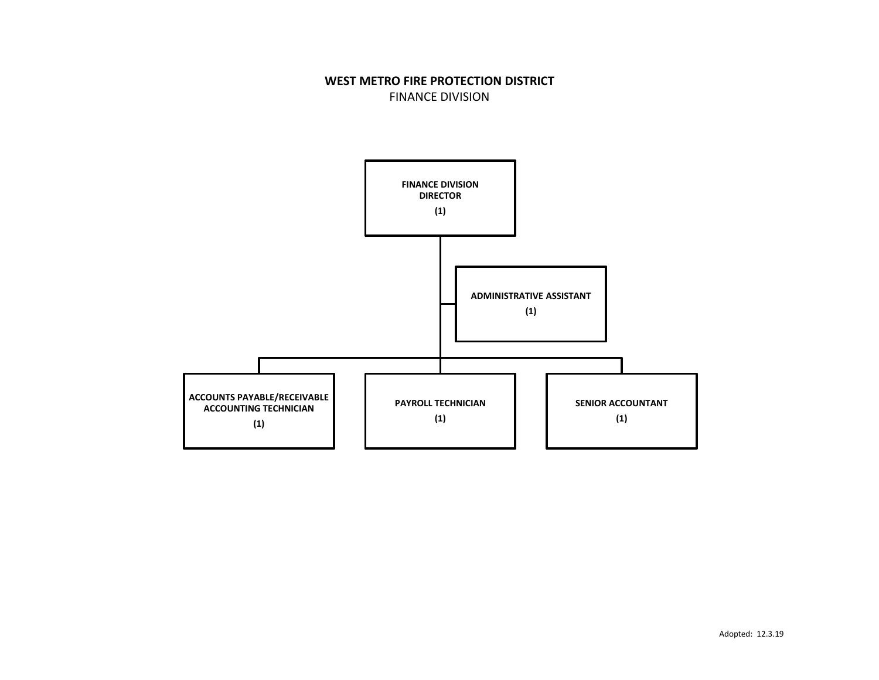### **WEST METRO FIRE PROTECTION DISTRICT** FINANCE DIVISION

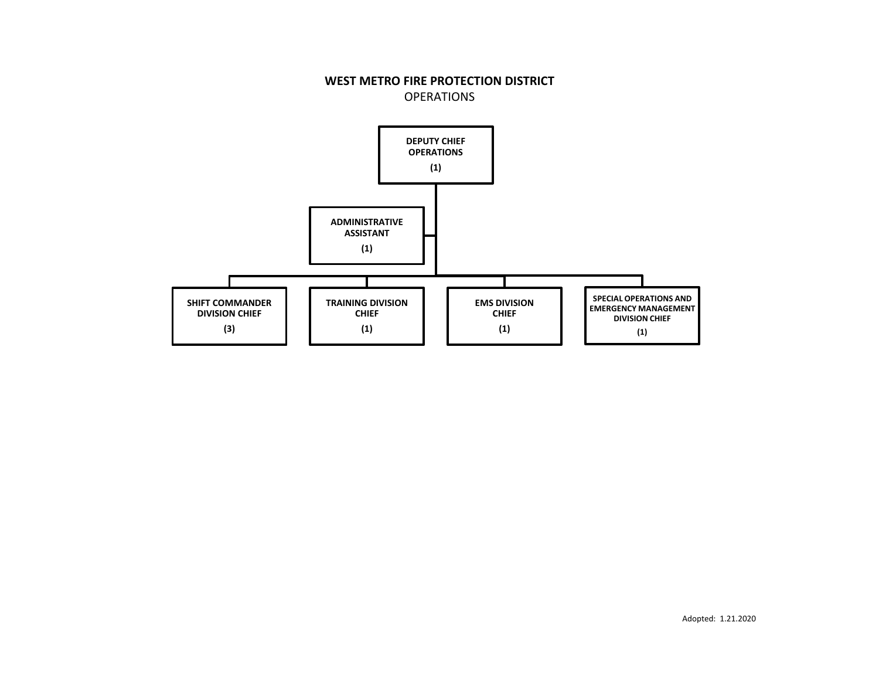## **WEST METRO FIRE PROTECTION DISTRICT** OPERATIONS

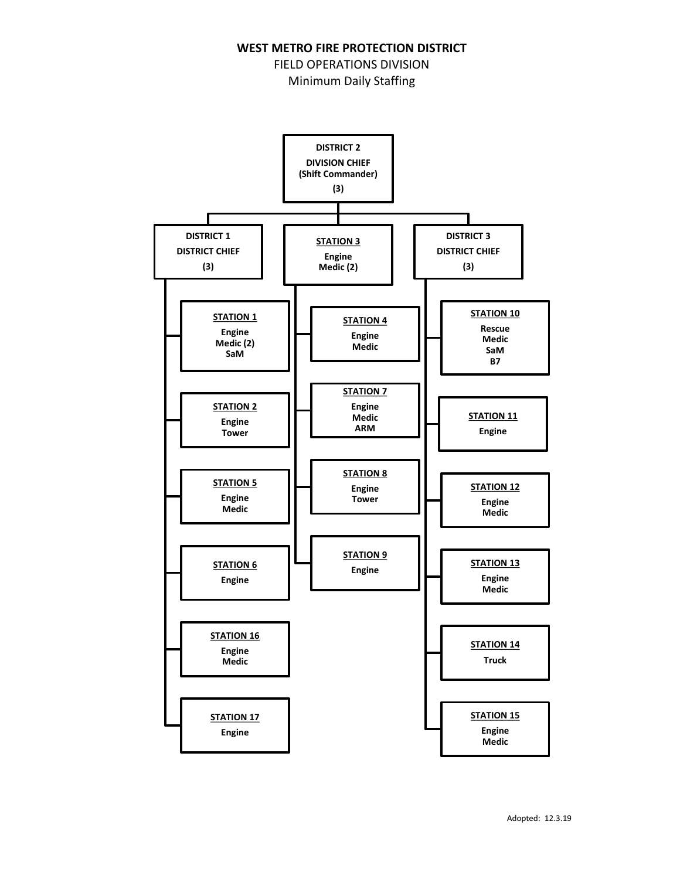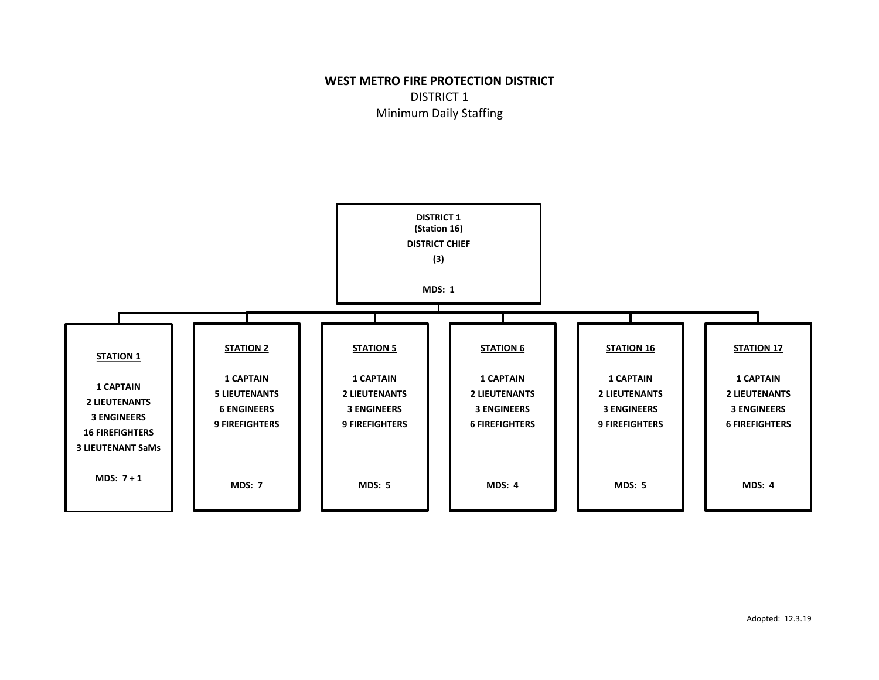# **WEST METRO FIRE PROTECTION DISTRICT** DISTRICT 1 Minimum Daily Staffing

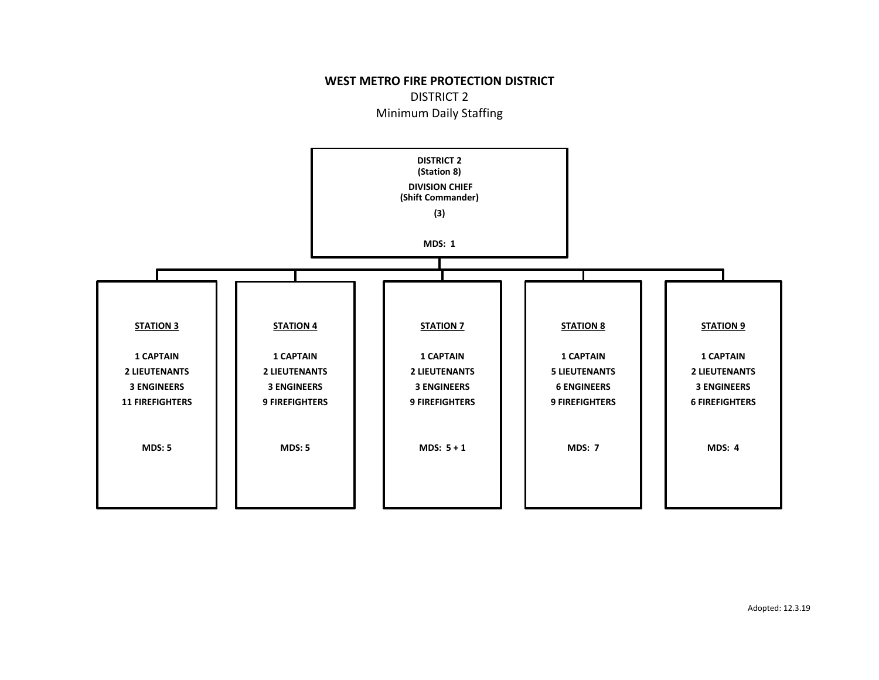

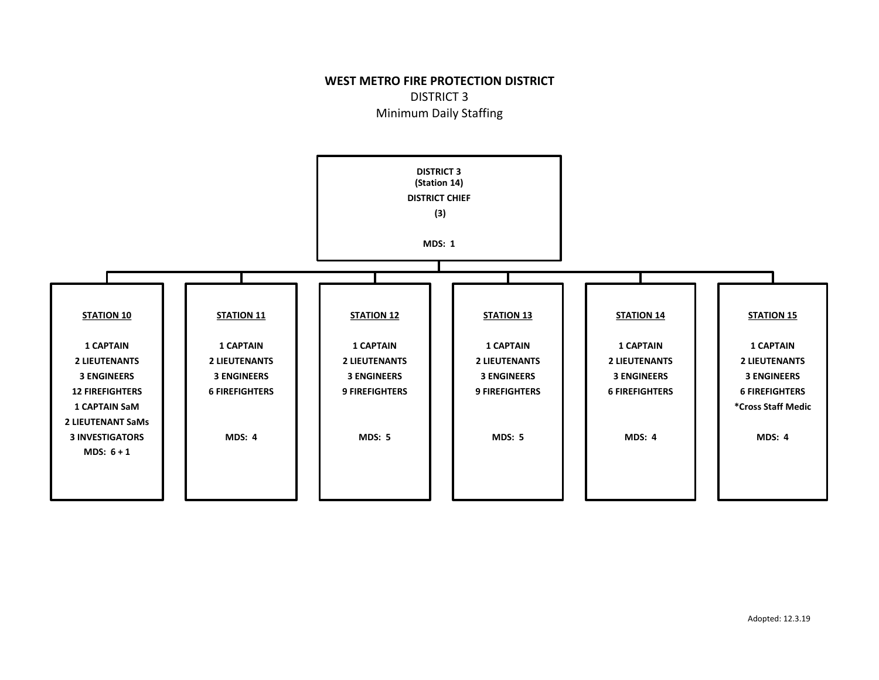## **WEST METRO FIRE PROTECTION DISTRICT** DISTRICT 3 Minimum Daily Staffing

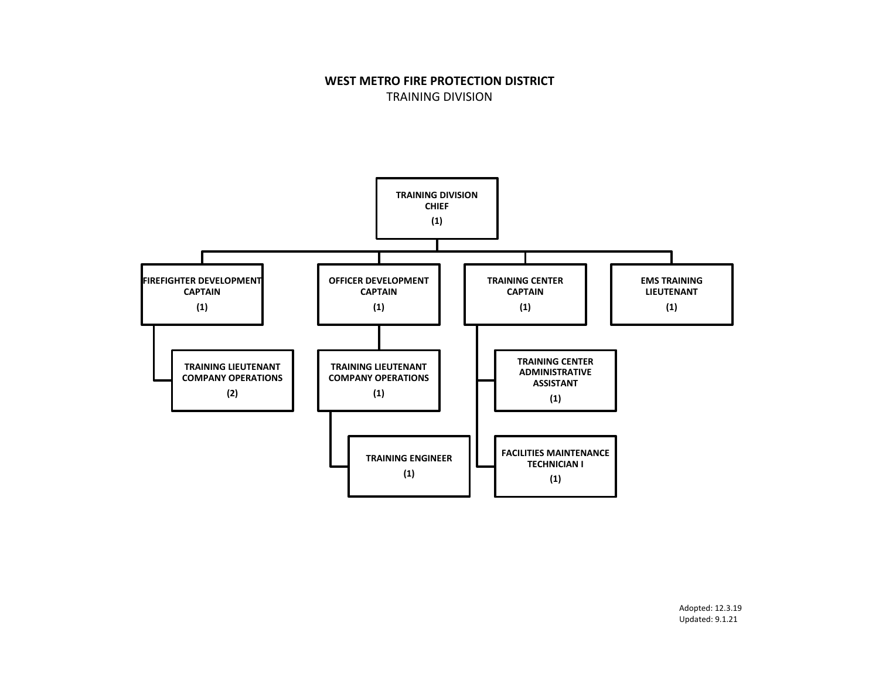## **WEST METRO FIRE PROTECTION DISTRICT** TRAINING DIVISION

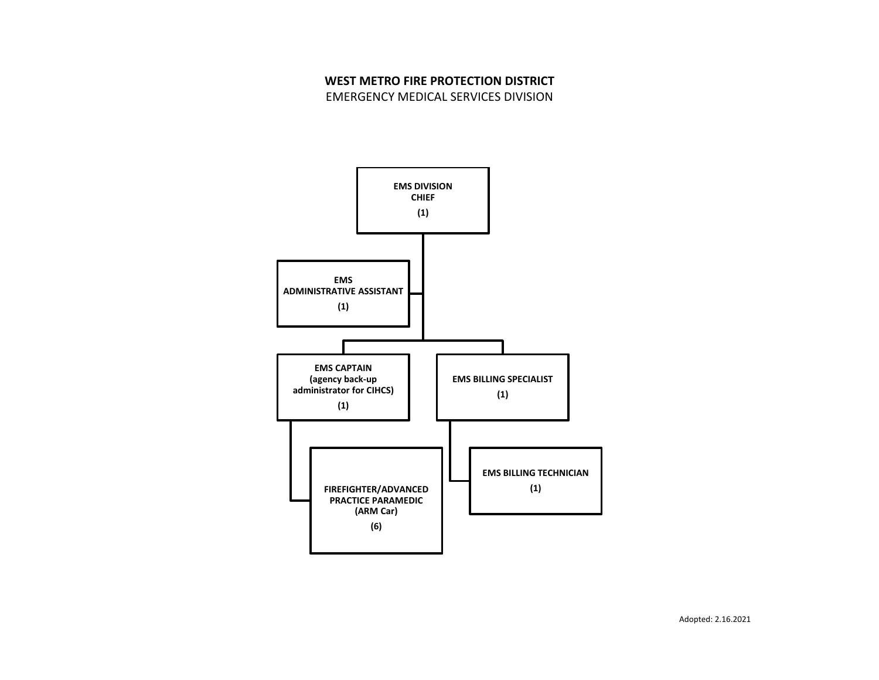EMERGENCY MEDICAL SERVICES DIVISION

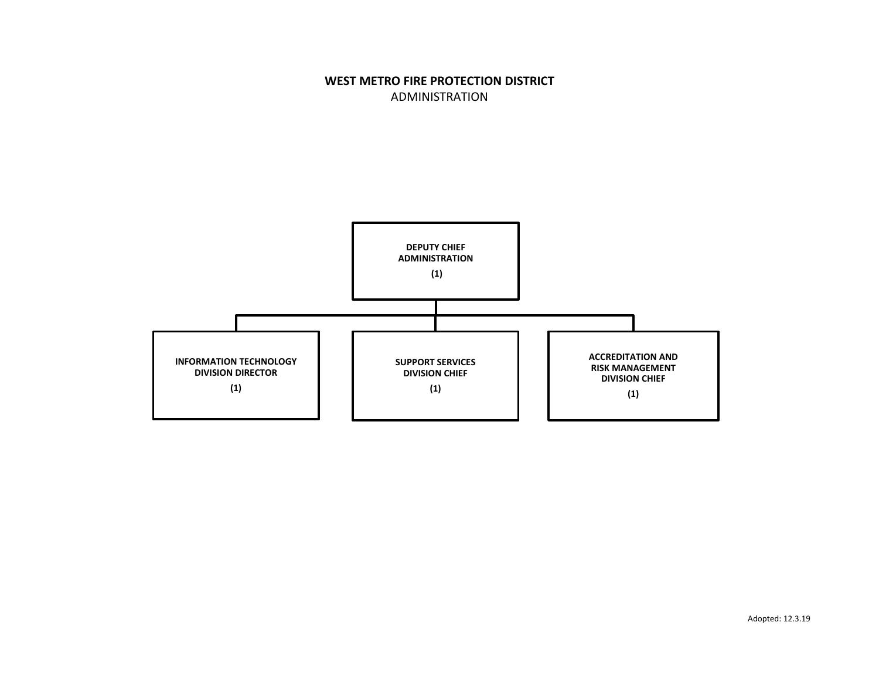### **WEST METRO FIRE PROTECTION DISTRICT** ADMINISTRATION

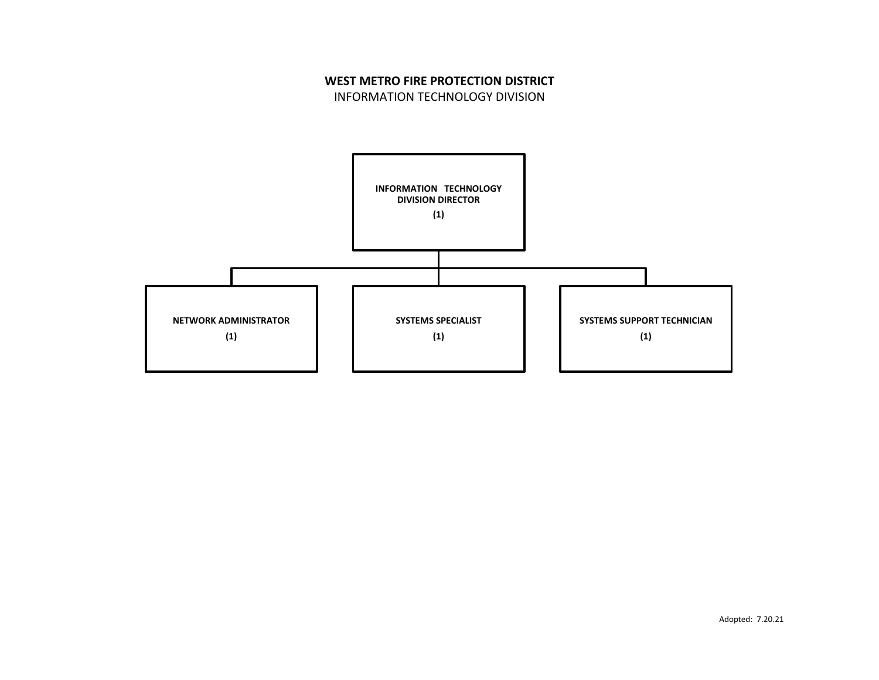INFORMATION TECHNOLOGY DIVISION

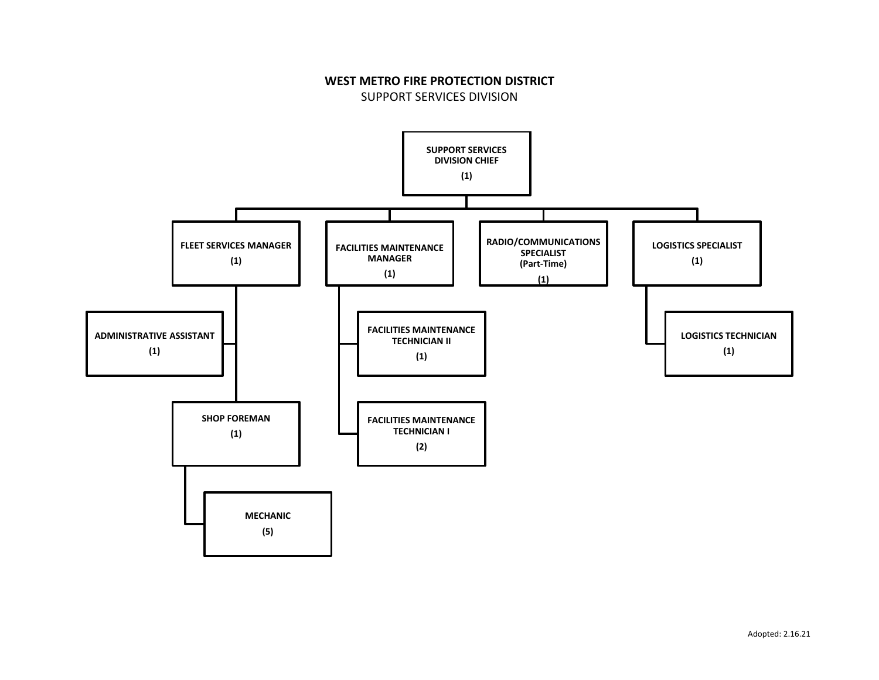SUPPORT SERVICES DIVISION

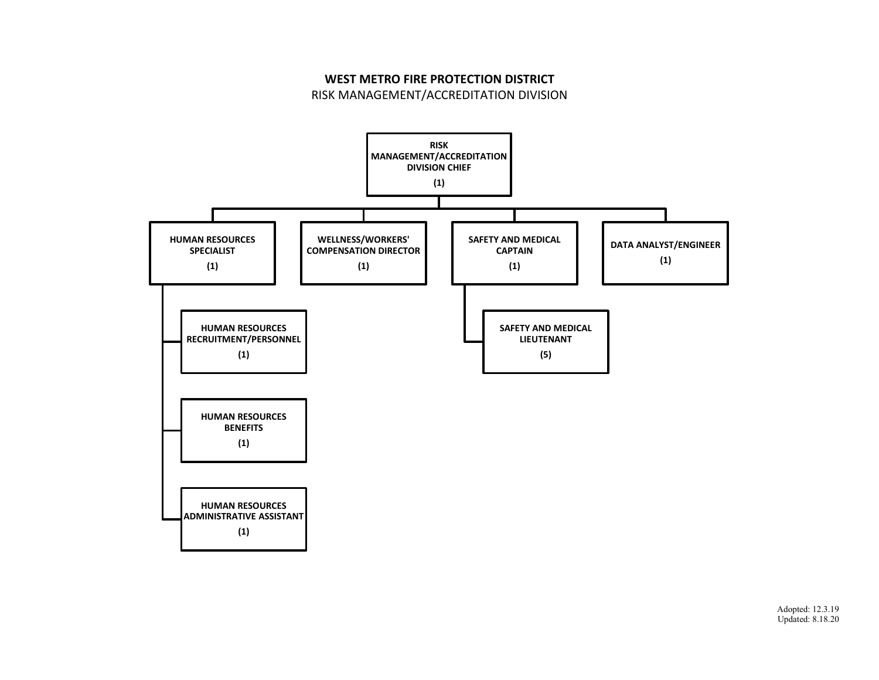RISK MANAGEMENT/ACCREDITATION DIVISION

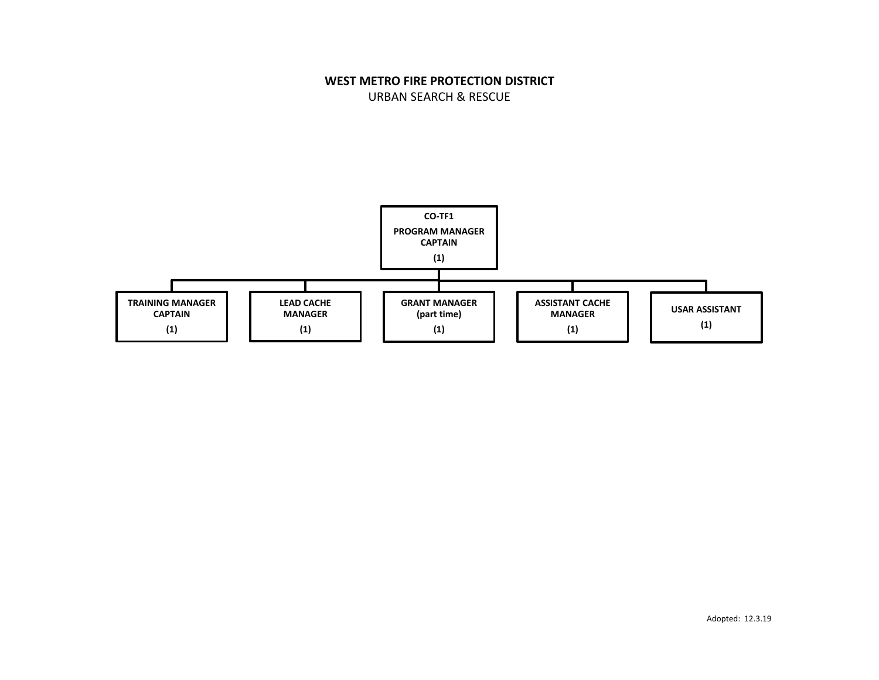### **WEST METRO FIRE PROTECTION DISTRICT** URBAN SEARCH & RESCUE

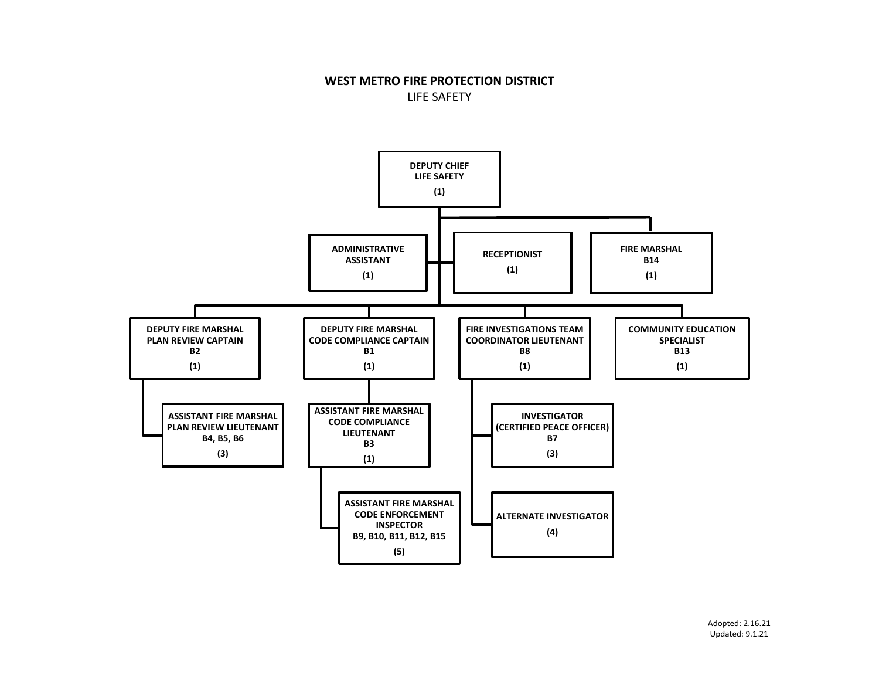### **WEST METRO FIRE PROTECTION DISTRICT** LIFE SAFETY